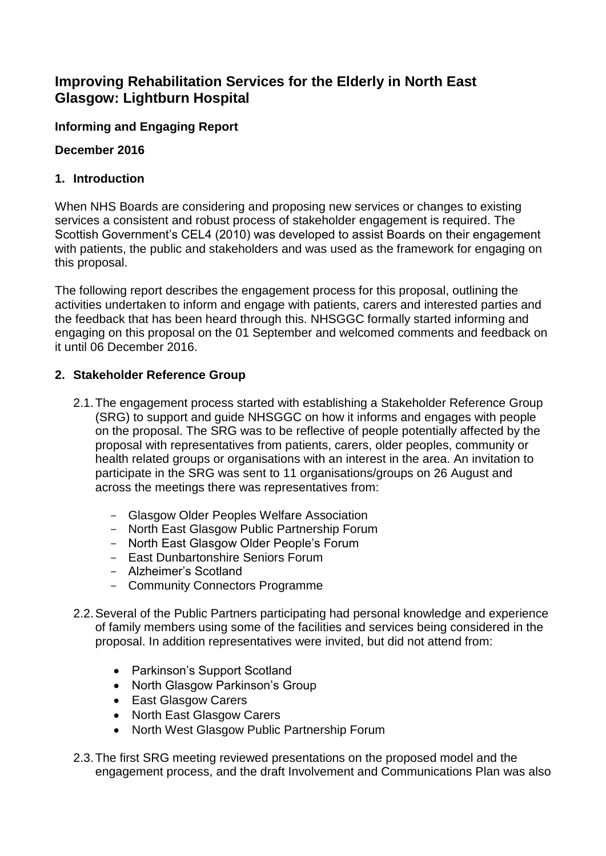# **Improving Rehabilitation Services for the Elderly in North East Glasgow: Lightburn Hospital**

## **Informing and Engaging Report**

## **December 2016**

## **1. Introduction**

When NHS Boards are considering and proposing new services or changes to existing services a consistent and robust process of stakeholder engagement is required. The Scottish Government's CEL4 (2010) was developed to assist Boards on their engagement with patients, the public and stakeholders and was used as the framework for engaging on this proposal.

The following report describes the engagement process for this proposal, outlining the activities undertaken to inform and engage with patients, carers and interested parties and the feedback that has been heard through this. NHSGGC formally started informing and engaging on this proposal on the 01 September and welcomed comments and feedback on it until 06 December 2016.

## **2. Stakeholder Reference Group**

- 2.1.The engagement process started with establishing a Stakeholder Reference Group (SRG) to support and guide NHSGGC on how it informs and engages with people on the proposal. The SRG was to be reflective of people potentially affected by the proposal with representatives from patients, carers, older peoples, community or health related groups or organisations with an interest in the area. An invitation to participate in the SRG was sent to 11 organisations/groups on 26 August and across the meetings there was representatives from:
	- Glasgow Older Peoples Welfare Association
	- North East Glasgow Public Partnership Forum
	- North East Glasgow Older People's Forum
	- East Dunbartonshire Seniors Forum
	- Alzheimer's Scotland
	- Community Connectors Programme
- 2.2.Several of the Public Partners participating had personal knowledge and experience of family members using some of the facilities and services being considered in the proposal. In addition representatives were invited, but did not attend from:
	- Parkinson's Support Scotland
	- North Glasgow Parkinson's Group
	- East Glasgow Carers
	- North East Glasgow Carers
	- North West Glasgow Public Partnership Forum
- 2.3.The first SRG meeting reviewed presentations on the proposed model and the engagement process, and the draft Involvement and Communications Plan was also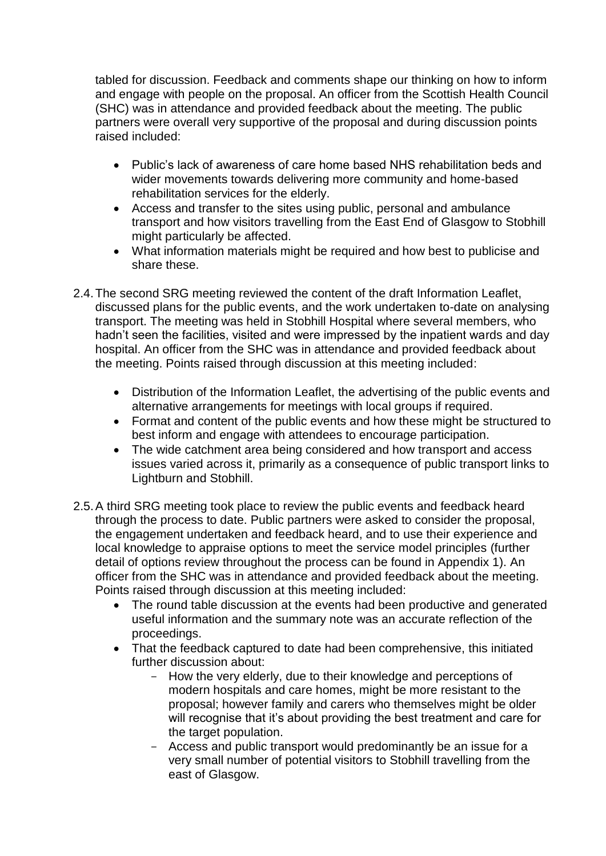tabled for discussion. Feedback and comments shape our thinking on how to inform and engage with people on the proposal. An officer from the Scottish Health Council (SHC) was in attendance and provided feedback about the meeting. The public partners were overall very supportive of the proposal and during discussion points raised included:

- Public's lack of awareness of care home based NHS rehabilitation beds and wider movements towards delivering more community and home-based rehabilitation services for the elderly.
- Access and transfer to the sites using public, personal and ambulance transport and how visitors travelling from the East End of Glasgow to Stobhill might particularly be affected.
- What information materials might be required and how best to publicise and share these.
- 2.4.The second SRG meeting reviewed the content of the draft Information Leaflet, discussed plans for the public events, and the work undertaken to-date on analysing transport. The meeting was held in Stobhill Hospital where several members, who hadn't seen the facilities, visited and were impressed by the inpatient wards and day hospital. An officer from the SHC was in attendance and provided feedback about the meeting. Points raised through discussion at this meeting included:
	- Distribution of the Information Leaflet, the advertising of the public events and alternative arrangements for meetings with local groups if required.
	- Format and content of the public events and how these might be structured to best inform and engage with attendees to encourage participation.
	- The wide catchment area being considered and how transport and access issues varied across it, primarily as a consequence of public transport links to Lightburn and Stobhill.
- 2.5.A third SRG meeting took place to review the public events and feedback heard through the process to date. Public partners were asked to consider the proposal, the engagement undertaken and feedback heard, and to use their experience and local knowledge to appraise options to meet the service model principles (further detail of options review throughout the process can be found in Appendix 1). An officer from the SHC was in attendance and provided feedback about the meeting. Points raised through discussion at this meeting included:
	- The round table discussion at the events had been productive and generated useful information and the summary note was an accurate reflection of the proceedings.
	- That the feedback captured to date had been comprehensive, this initiated further discussion about:
		- How the very elderly, due to their knowledge and perceptions of modern hospitals and care homes, might be more resistant to the proposal; however family and carers who themselves might be older will recognise that it's about providing the best treatment and care for the target population.
		- Access and public transport would predominantly be an issue for a very small number of potential visitors to Stobhill travelling from the east of Glasgow.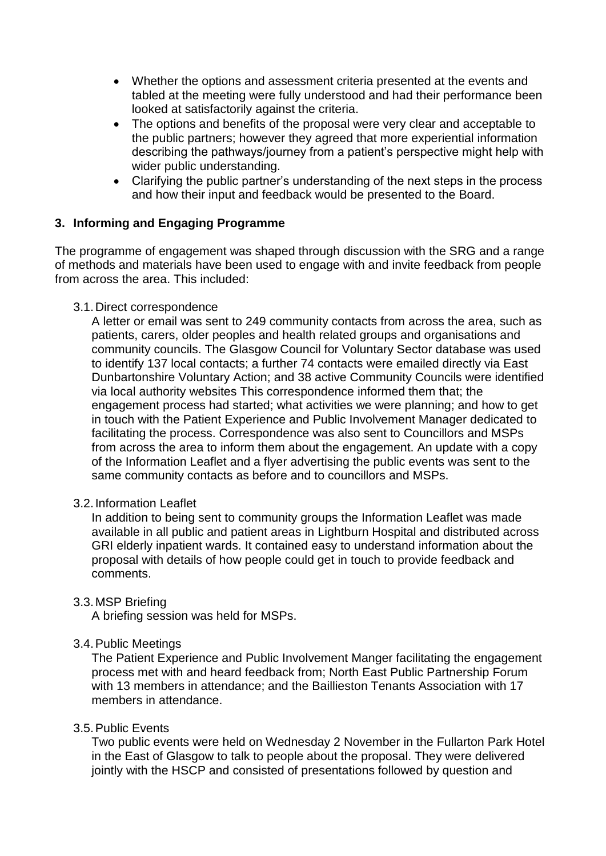- Whether the options and assessment criteria presented at the events and tabled at the meeting were fully understood and had their performance been looked at satisfactorily against the criteria.
- The options and benefits of the proposal were very clear and acceptable to the public partners; however they agreed that more experiential information describing the pathways/journey from a patient's perspective might help with wider public understanding.
- Clarifying the public partner's understanding of the next steps in the process and how their input and feedback would be presented to the Board.

## **3. Informing and Engaging Programme**

The programme of engagement was shaped through discussion with the SRG and a range of methods and materials have been used to engage with and invite feedback from people from across the area. This included:

#### 3.1.Direct correspondence

A letter or email was sent to 249 community contacts from across the area, such as patients, carers, older peoples and health related groups and organisations and community councils. The Glasgow Council for Voluntary Sector database was used to identify 137 local contacts; a further 74 contacts were emailed directly via East Dunbartonshire Voluntary Action; and 38 active Community Councils were identified via local authority websites This correspondence informed them that; the engagement process had started; what activities we were planning; and how to get in touch with the Patient Experience and Public Involvement Manager dedicated to facilitating the process. Correspondence was also sent to Councillors and MSPs from across the area to inform them about the engagement. An update with a copy of the Information Leaflet and a flyer advertising the public events was sent to the same community contacts as before and to councillors and MSPs.

## 3.2.Information Leaflet

In addition to being sent to community groups the Information Leaflet was made available in all public and patient areas in Lightburn Hospital and distributed across GRI elderly inpatient wards. It contained easy to understand information about the proposal with details of how people could get in touch to provide feedback and comments.

## 3.3.MSP Briefing

A briefing session was held for MSPs.

## 3.4.Public Meetings

The Patient Experience and Public Involvement Manger facilitating the engagement process met with and heard feedback from; North East Public Partnership Forum with 13 members in attendance: and the Baillieston Tenants Association with 17 members in attendance.

#### 3.5.Public Events

Two public events were held on Wednesday 2 November in the Fullarton Park Hotel in the East of Glasgow to talk to people about the proposal. They were delivered jointly with the HSCP and consisted of presentations followed by question and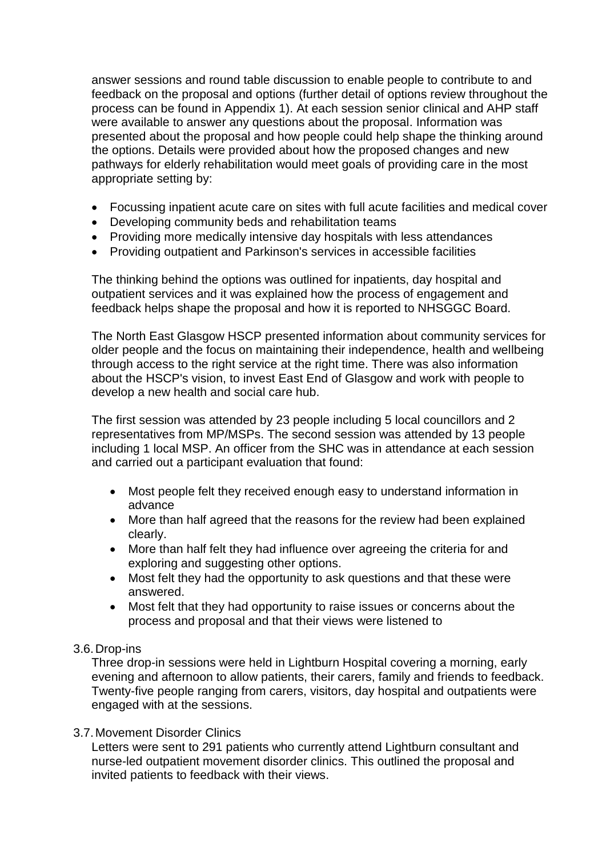answer sessions and round table discussion to enable people to contribute to and feedback on the proposal and options (further detail of options review throughout the process can be found in Appendix 1). At each session senior clinical and AHP staff were available to answer any questions about the proposal. Information was presented about the proposal and how people could help shape the thinking around the options. Details were provided about how the proposed changes and new pathways for elderly rehabilitation would meet goals of providing care in the most appropriate setting by:

- Focussing inpatient acute care on sites with full acute facilities and medical cover
- Developing community beds and rehabilitation teams
- Providing more medically intensive day hospitals with less attendances
- Providing outpatient and Parkinson's services in accessible facilities

The thinking behind the options was outlined for inpatients, day hospital and outpatient services and it was explained how the process of engagement and feedback helps shape the proposal and how it is reported to NHSGGC Board.

The North East Glasgow HSCP presented information about community services for older people and the focus on maintaining their independence, health and wellbeing through access to the right service at the right time. There was also information about the HSCP's vision, to invest East End of Glasgow and work with people to develop a new health and social care hub.

The first session was attended by 23 people including 5 local councillors and 2 representatives from MP/MSPs. The second session was attended by 13 people including 1 local MSP. An officer from the SHC was in attendance at each session and carried out a participant evaluation that found:

- Most people felt they received enough easy to understand information in advance
- More than half agreed that the reasons for the review had been explained clearly.
- More than half felt they had influence over agreeing the criteria for and exploring and suggesting other options.
- Most felt they had the opportunity to ask questions and that these were answered.
- Most felt that they had opportunity to raise issues or concerns about the process and proposal and that their views were listened to

## 3.6.Drop-ins

Three drop-in sessions were held in Lightburn Hospital covering a morning, early evening and afternoon to allow patients, their carers, family and friends to feedback. Twenty-five people ranging from carers, visitors, day hospital and outpatients were engaged with at the sessions.

## 3.7.Movement Disorder Clinics

Letters were sent to 291 patients who currently attend Lightburn consultant and nurse-led outpatient movement disorder clinics. This outlined the proposal and invited patients to feedback with their views.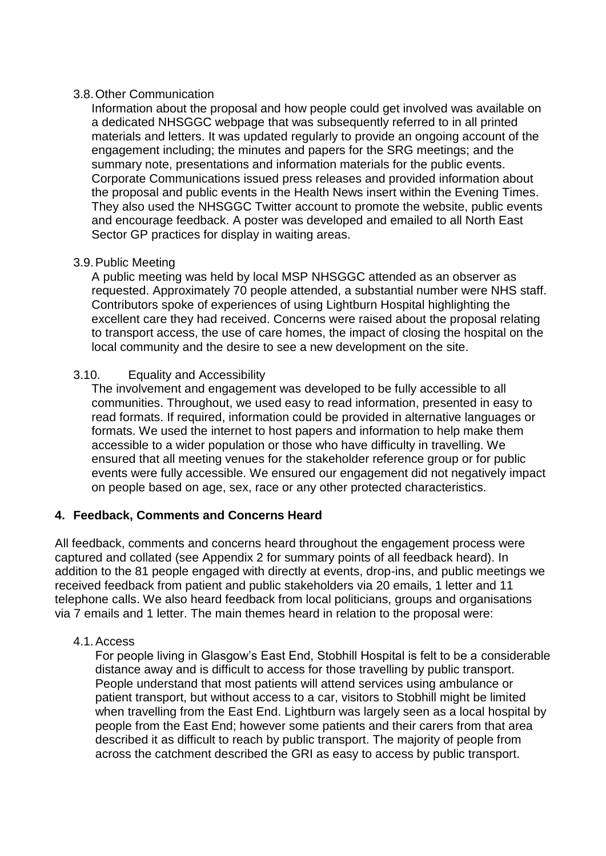## 3.8.Other Communication

Information about the proposal and how people could get involved was available on a dedicated NHSGGC webpage that was subsequently referred to in all printed materials and letters. It was updated regularly to provide an ongoing account of the engagement including; the minutes and papers for the SRG meetings; and the summary note, presentations and information materials for the public events. Corporate Communications issued press releases and provided information about the proposal and public events in the Health News insert within the Evening Times. They also used the NHSGGC Twitter account to promote the website, public events and encourage feedback. A poster was developed and emailed to all North East Sector GP practices for display in waiting areas.

#### 3.9.Public Meeting

A public meeting was held by local MSP NHSGGC attended as an observer as requested. Approximately 70 people attended, a substantial number were NHS staff. Contributors spoke of experiences of using Lightburn Hospital highlighting the excellent care they had received. Concerns were raised about the proposal relating to transport access, the use of care homes, the impact of closing the hospital on the local community and the desire to see a new development on the site.

#### 3.10. Equality and Accessibility

The involvement and engagement was developed to be fully accessible to all communities. Throughout, we used easy to read information, presented in easy to read formats. If required, information could be provided in alternative languages or formats. We used the internet to host papers and information to help make them accessible to a wider population or those who have difficulty in travelling. We ensured that all meeting venues for the stakeholder reference group or for public events were fully accessible. We ensured our engagement did not negatively impact on people based on age, sex, race or any other protected characteristics.

## **4. Feedback, Comments and Concerns Heard**

All feedback, comments and concerns heard throughout the engagement process were captured and collated (see Appendix 2 for summary points of all feedback heard). In addition to the 81 people engaged with directly at events, drop-ins, and public meetings we received feedback from patient and public stakeholders via 20 emails, 1 letter and 11 telephone calls. We also heard feedback from local politicians, groups and organisations via 7 emails and 1 letter. The main themes heard in relation to the proposal were:

## 4.1.Access

For people living in Glasgow's East End, Stobhill Hospital is felt to be a considerable distance away and is difficult to access for those travelling by public transport. People understand that most patients will attend services using ambulance or patient transport, but without access to a car, visitors to Stobhill might be limited when travelling from the East End. Lightburn was largely seen as a local hospital by people from the East End; however some patients and their carers from that area described it as difficult to reach by public transport. The majority of people from across the catchment described the GRI as easy to access by public transport.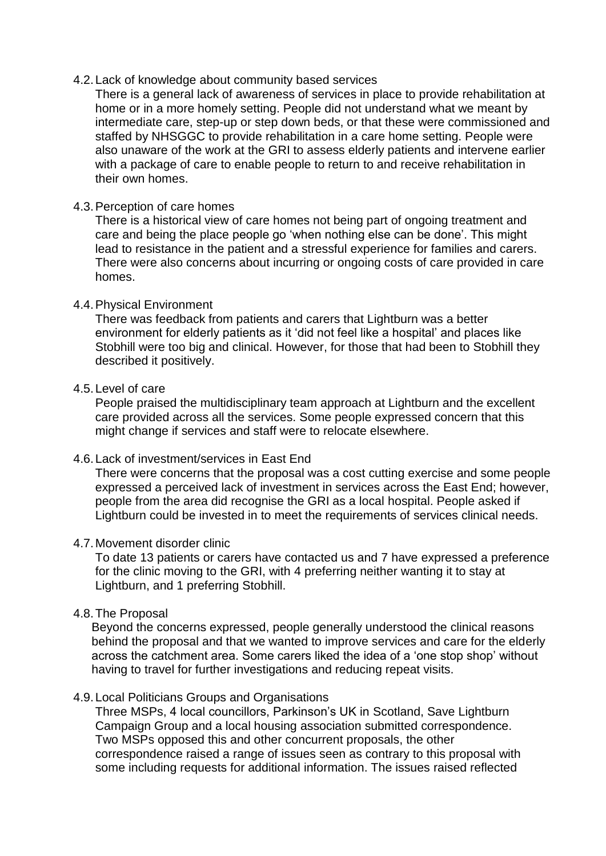#### 4.2.Lack of knowledge about community based services

There is a general lack of awareness of services in place to provide rehabilitation at home or in a more homely setting. People did not understand what we meant by intermediate care, step-up or step down beds, or that these were commissioned and staffed by NHSGGC to provide rehabilitation in a care home setting. People were also unaware of the work at the GRI to assess elderly patients and intervene earlier with a package of care to enable people to return to and receive rehabilitation in their own homes.

### 4.3.Perception of care homes

There is a historical view of care homes not being part of ongoing treatment and care and being the place people go 'when nothing else can be done'. This might lead to resistance in the patient and a stressful experience for families and carers. There were also concerns about incurring or ongoing costs of care provided in care homes.

#### 4.4.Physical Environment

There was feedback from patients and carers that Lightburn was a better environment for elderly patients as it 'did not feel like a hospital' and places like Stobhill were too big and clinical. However, for those that had been to Stobhill they described it positively.

#### 4.5.Level of care

People praised the multidisciplinary team approach at Lightburn and the excellent care provided across all the services. Some people expressed concern that this might change if services and staff were to relocate elsewhere.

#### 4.6.Lack of investment/services in East End

There were concerns that the proposal was a cost cutting exercise and some people expressed a perceived lack of investment in services across the East End; however, people from the area did recognise the GRI as a local hospital. People asked if Lightburn could be invested in to meet the requirements of services clinical needs.

#### 4.7.Movement disorder clinic

To date 13 patients or carers have contacted us and 7 have expressed a preference for the clinic moving to the GRI, with 4 preferring neither wanting it to stay at Lightburn, and 1 preferring Stobhill.

## 4.8.The Proposal

Beyond the concerns expressed, people generally understood the clinical reasons behind the proposal and that we wanted to improve services and care for the elderly across the catchment area. Some carers liked the idea of a 'one stop shop' without having to travel for further investigations and reducing repeat visits.

#### 4.9.Local Politicians Groups and Organisations

Three MSPs, 4 local councillors, Parkinson's UK in Scotland, Save Lightburn Campaign Group and a local housing association submitted correspondence. Two MSPs opposed this and other concurrent proposals, the other correspondence raised a range of issues seen as contrary to this proposal with some including requests for additional information. The issues raised reflected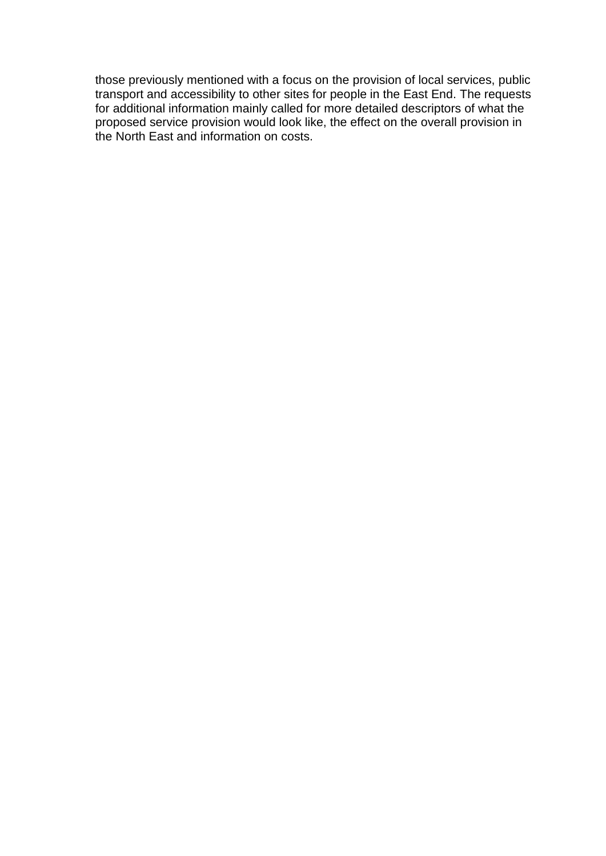those previously mentioned with a focus on the provision of local services, public transport and accessibility to other sites for people in the East End. The requests for additional information mainly called for more detailed descriptors of what the proposed service provision would look like, the effect on the overall provision in the North East and information on costs.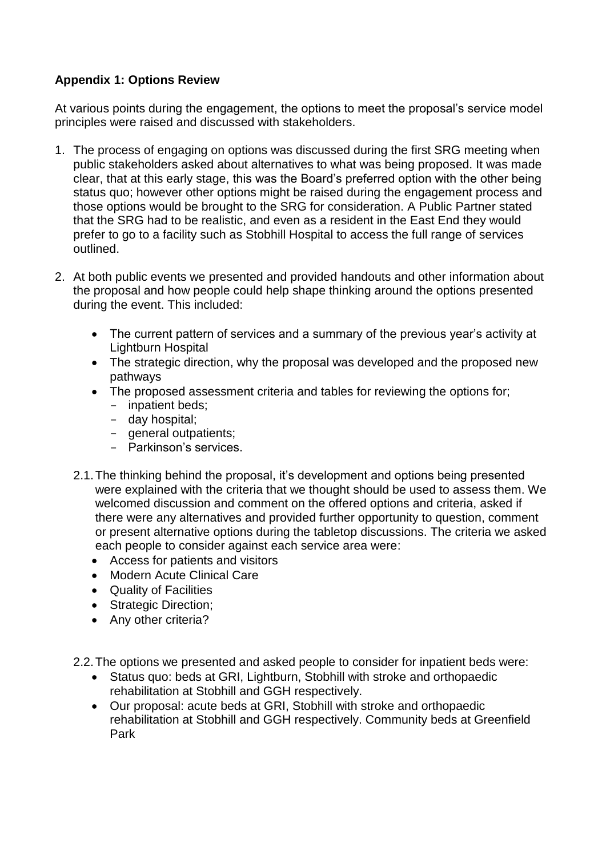## **Appendix 1: Options Review**

At various points during the engagement, the options to meet the proposal's service model principles were raised and discussed with stakeholders.

- 1. The process of engaging on options was discussed during the first SRG meeting when public stakeholders asked about alternatives to what was being proposed. It was made clear, that at this early stage, this was the Board's preferred option with the other being status quo; however other options might be raised during the engagement process and those options would be brought to the SRG for consideration. A Public Partner stated that the SRG had to be realistic, and even as a resident in the East End they would prefer to go to a facility such as Stobhill Hospital to access the full range of services outlined.
- 2. At both public events we presented and provided handouts and other information about the proposal and how people could help shape thinking around the options presented during the event. This included:
	- The current pattern of services and a summary of the previous year's activity at Lightburn Hospital
	- The strategic direction, why the proposal was developed and the proposed new pathways
	- The proposed assessment criteria and tables for reviewing the options for;
		- inpatient beds;
		- day hospital;
		- general outpatients;
		- Parkinson's services.
	- 2.1.The thinking behind the proposal, it's development and options being presented were explained with the criteria that we thought should be used to assess them. We welcomed discussion and comment on the offered options and criteria, asked if there were any alternatives and provided further opportunity to question, comment or present alternative options during the tabletop discussions. The criteria we asked each people to consider against each service area were:
		- Access for patients and visitors
		- Modern Acute Clinical Care
		- Quality of Facilities
		- Strategic Direction;
		- Any other criteria?
	- 2.2.The options we presented and asked people to consider for inpatient beds were:
		- Status quo: beds at GRI, Lightburn, Stobhill with stroke and orthopaedic rehabilitation at Stobhill and GGH respectively.
		- Our proposal: acute beds at GRI, Stobhill with stroke and orthopaedic rehabilitation at Stobhill and GGH respectively. Community beds at Greenfield Park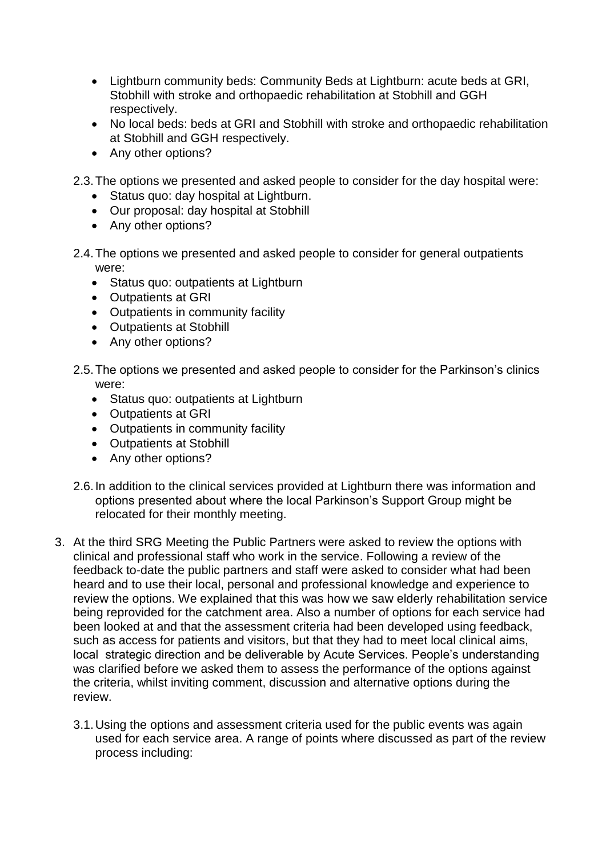- Lightburn community beds: Community Beds at Lightburn: acute beds at GRI, Stobhill with stroke and orthopaedic rehabilitation at Stobhill and GGH respectively.
- No local beds: beds at GRI and Stobhill with stroke and orthopaedic rehabilitation at Stobhill and GGH respectively.
- Any other options?
- 2.3.The options we presented and asked people to consider for the day hospital were:
	- Status quo: day hospital at Lightburn.
	- Our proposal: day hospital at Stobhill
	- Any other options?
- 2.4.The options we presented and asked people to consider for general outpatients were:
	- Status quo: outpatients at Lightburn
	- Outpatients at GRI
	- Outpatients in community facility
	- Outpatients at Stobhill
	- Any other options?
- 2.5.The options we presented and asked people to consider for the Parkinson's clinics were:
	- Status quo: outpatients at Lightburn
	- Outpatients at GRI
	- Outpatients in community facility
	- Outpatients at Stobhill
	- Any other options?
- 2.6.In addition to the clinical services provided at Lightburn there was information and options presented about where the local Parkinson's Support Group might be relocated for their monthly meeting.
- 3. At the third SRG Meeting the Public Partners were asked to review the options with clinical and professional staff who work in the service. Following a review of the feedback to-date the public partners and staff were asked to consider what had been heard and to use their local, personal and professional knowledge and experience to review the options. We explained that this was how we saw elderly rehabilitation service being reprovided for the catchment area. Also a number of options for each service had been looked at and that the assessment criteria had been developed using feedback, such as access for patients and visitors, but that they had to meet local clinical aims, local strategic direction and be deliverable by Acute Services. People's understanding was clarified before we asked them to assess the performance of the options against the criteria, whilst inviting comment, discussion and alternative options during the review.
	- 3.1.Using the options and assessment criteria used for the public events was again used for each service area. A range of points where discussed as part of the review process including: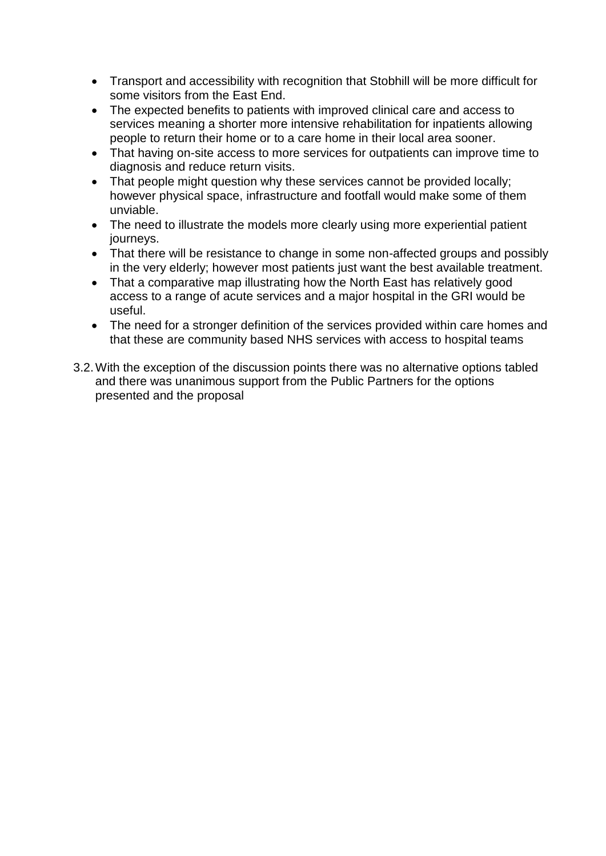- Transport and accessibility with recognition that Stobhill will be more difficult for some visitors from the East End.
- The expected benefits to patients with improved clinical care and access to services meaning a shorter more intensive rehabilitation for inpatients allowing people to return their home or to a care home in their local area sooner.
- That having on-site access to more services for outpatients can improve time to diagnosis and reduce return visits.
- That people might question why these services cannot be provided locally; however physical space, infrastructure and footfall would make some of them unviable.
- The need to illustrate the models more clearly using more experiential patient journeys.
- That there will be resistance to change in some non-affected groups and possibly in the very elderly; however most patients just want the best available treatment.
- That a comparative map illustrating how the North East has relatively good access to a range of acute services and a major hospital in the GRI would be useful.
- The need for a stronger definition of the services provided within care homes and that these are community based NHS services with access to hospital teams
- 3.2.With the exception of the discussion points there was no alternative options tabled and there was unanimous support from the Public Partners for the options presented and the proposal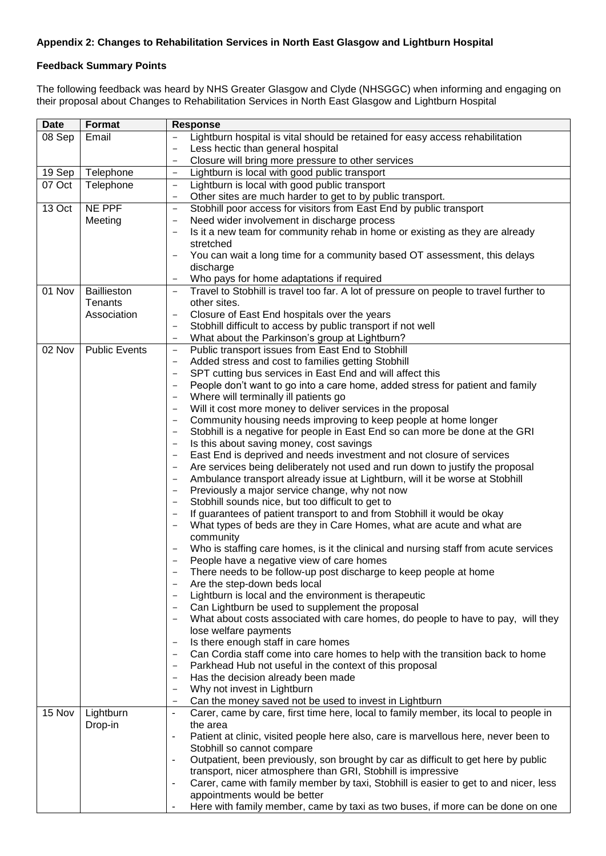#### **Appendix 2: Changes to Rehabilitation Services in North East Glasgow and Lightburn Hospital**

#### **Feedback Summary Points**

The following feedback was heard by NHS Greater Glasgow and Clyde (NHSGGC) when informing and engaging on their proposal about Changes to Rehabilitation Services in North East Glasgow and Lightburn Hospital

| <b>Date</b> | Format               | Response                                                                                                                                                                                                |
|-------------|----------------------|---------------------------------------------------------------------------------------------------------------------------------------------------------------------------------------------------------|
| 08 Sep      | Email                | Lightburn hospital is vital should be retained for easy access rehabilitation                                                                                                                           |
|             |                      | Less hectic than general hospital                                                                                                                                                                       |
|             |                      | Closure will bring more pressure to other services<br>$\overline{\phantom{a}}$                                                                                                                          |
| 19 Sep      | Telephone            | Lightburn is local with good public transport<br>$\qquad \qquad -$                                                                                                                                      |
| 07 Oct      | Telephone            | Lightburn is local with good public transport<br>$\qquad \qquad -$                                                                                                                                      |
|             |                      | Other sites are much harder to get to by public transport.<br>$\qquad \qquad -$                                                                                                                         |
| 13 Oct      | NE PPF               | Stobhill poor access for visitors from East End by public transport<br>$\overline{\phantom{0}}$                                                                                                         |
|             | Meeting              | Need wider involvement in discharge process<br>$\qquad \qquad -$                                                                                                                                        |
|             |                      | Is it a new team for community rehab in home or existing as they are already                                                                                                                            |
|             |                      | stretched                                                                                                                                                                                               |
|             |                      | You can wait a long time for a community based OT assessment, this delays                                                                                                                               |
|             |                      | discharge                                                                                                                                                                                               |
|             |                      | Who pays for home adaptations if required<br>$\overline{\phantom{m}}$                                                                                                                                   |
| 01 Nov      | Baillieston          | Travel to Stobhill is travel too far. A lot of pressure on people to travel further to<br>$\qquad \qquad -$                                                                                             |
|             | Tenants              | other sites.                                                                                                                                                                                            |
|             | Association          | Closure of East End hospitals over the years<br>$\qquad \qquad -$                                                                                                                                       |
|             |                      | Stobhill difficult to access by public transport if not well                                                                                                                                            |
|             |                      | What about the Parkinson's group at Lightburn?<br>$\overline{\phantom{0}}$                                                                                                                              |
| 02 Nov      | <b>Public Events</b> | Public transport issues from East End to Stobhill<br>$\overline{\phantom{a}}$                                                                                                                           |
|             |                      | Added stress and cost to families getting Stobhill<br>$\qquad \qquad -$                                                                                                                                 |
|             |                      | SPT cutting bus services in East End and will affect this<br>$\overline{\phantom{0}}$                                                                                                                   |
|             |                      | People don't want to go into a care home, added stress for patient and family                                                                                                                           |
|             |                      | Where will terminally ill patients go<br>$\overline{\phantom{a}}$                                                                                                                                       |
|             |                      | Will it cost more money to deliver services in the proposal<br>$\overline{\phantom{a}}$                                                                                                                 |
|             |                      | Community housing needs improving to keep people at home longer<br>$\overline{\phantom{a}}$<br>Stobhill is a negative for people in East End so can more be done at the GRI<br>$\overline{\phantom{a}}$ |
|             |                      | Is this about saving money, cost savings<br>$\overline{\phantom{a}}$                                                                                                                                    |
|             |                      | East End is deprived and needs investment and not closure of services<br>$\overline{\phantom{a}}$                                                                                                       |
|             |                      | Are services being deliberately not used and run down to justify the proposal<br>$\qquad \qquad -$                                                                                                      |
|             |                      | Ambulance transport already issue at Lightburn, will it be worse at Stobhill<br>$\qquad \qquad -$                                                                                                       |
|             |                      | Previously a major service change, why not now                                                                                                                                                          |
|             |                      | Stobhill sounds nice, but too difficult to get to                                                                                                                                                       |
|             |                      | If guarantees of patient transport to and from Stobhill it would be okay<br>$\overline{\phantom{0}}$                                                                                                    |
|             |                      | What types of beds are they in Care Homes, what are acute and what are                                                                                                                                  |
|             |                      | community                                                                                                                                                                                               |
|             |                      | Who is staffing care homes, is it the clinical and nursing staff from acute services                                                                                                                    |
|             |                      | People have a negative view of care homes                                                                                                                                                               |
|             |                      | There needs to be follow-up post discharge to keep people at home                                                                                                                                       |
|             |                      | Are the step-down beds local                                                                                                                                                                            |
|             |                      | Lightburn is local and the environment is therapeutic                                                                                                                                                   |
|             |                      | Can Lightburn be used to supplement the proposal                                                                                                                                                        |
|             |                      | What about costs associated with care homes, do people to have to pay, will they<br>$\qquad \qquad -$                                                                                                   |
|             |                      | lose welfare payments                                                                                                                                                                                   |
|             |                      | Is there enough staff in care homes                                                                                                                                                                     |
|             |                      | Can Cordia staff come into care homes to help with the transition back to home<br>$\overline{\phantom{0}}$                                                                                              |
|             |                      | Parkhead Hub not useful in the context of this proposal                                                                                                                                                 |
|             |                      | Has the decision already been made<br>$\overline{\phantom{0}}$                                                                                                                                          |
|             |                      | Why not invest in Lightburn                                                                                                                                                                             |
|             |                      | Can the money saved not be used to invest in Lightburn<br>$\overline{\phantom{a}}$                                                                                                                      |
| 15 Nov      | Lightburn            | Carer, came by care, first time here, local to family member, its local to people in<br>$\overline{\phantom{a}}$                                                                                        |
|             | Drop-in              | the area                                                                                                                                                                                                |
|             |                      | Patient at clinic, visited people here also, care is marvellous here, never been to<br>$\overline{a}$                                                                                                   |
|             |                      | Stobhill so cannot compare<br>Outpatient, been previously, son brought by car as difficult to get here by public<br>-                                                                                   |
|             |                      | transport, nicer atmosphere than GRI, Stobhill is impressive                                                                                                                                            |
|             |                      | Carer, came with family member by taxi, Stobhill is easier to get to and nicer, less<br>-                                                                                                               |
|             |                      | appointments would be better                                                                                                                                                                            |
|             |                      | Here with family member, came by taxi as two buses, if more can be done on one                                                                                                                          |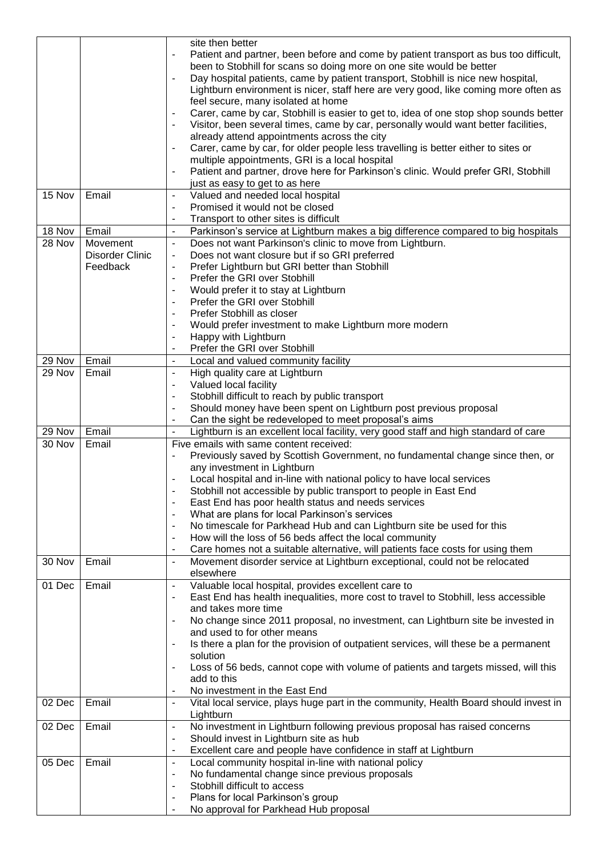|                  |                 | site then better                                                                                                                                                                         |
|------------------|-----------------|------------------------------------------------------------------------------------------------------------------------------------------------------------------------------------------|
|                  |                 | Patient and partner, been before and come by patient transport as bus too difficult,                                                                                                     |
|                  |                 | been to Stobhill for scans so doing more on one site would be better                                                                                                                     |
|                  |                 | Day hospital patients, came by patient transport, Stobhill is nice new hospital,<br>$\overline{\phantom{a}}$                                                                             |
|                  |                 | Lightburn environment is nicer, staff here are very good, like coming more often as                                                                                                      |
|                  |                 | feel secure, many isolated at home                                                                                                                                                       |
|                  |                 | Carer, came by car, Stobhill is easier to get to, idea of one stop shop sounds better<br>$\overline{\phantom{a}}$                                                                        |
|                  |                 | Visitor, been several times, came by car, personally would want better facilities,<br>$\overline{\phantom{a}}$                                                                           |
|                  |                 | already attend appointments across the city                                                                                                                                              |
|                  |                 | Carer, came by car, for older people less travelling is better either to sites or<br>$\qquad \qquad \blacksquare$                                                                        |
|                  |                 | multiple appointments, GRI is a local hospital                                                                                                                                           |
|                  |                 | Patient and partner, drove here for Parkinson's clinic. Would prefer GRI, Stobhill<br>$\qquad \qquad \blacksquare$                                                                       |
|                  |                 | just as easy to get to as here                                                                                                                                                           |
| 15 Nov           | Email           | Valued and needed local hospital<br>$\overline{\phantom{a}}$                                                                                                                             |
|                  |                 | Promised it would not be closed<br>$\qquad \qquad \blacksquare$                                                                                                                          |
|                  |                 | Transport to other sites is difficult                                                                                                                                                    |
| 18 Nov           | Email           | Parkinson's service at Lightburn makes a big difference compared to big hospitals<br>$\overline{\phantom{a}}$                                                                            |
| 28 Nov           | Movement        | Does not want Parkinson's clinic to move from Lightburn.<br>$\overline{\phantom{a}}$                                                                                                     |
|                  | Disorder Clinic | Does not want closure but if so GRI preferred<br>$\overline{\phantom{a}}$                                                                                                                |
|                  | Feedback        | Prefer Lightburn but GRI better than Stobhill<br>$\overline{\phantom{a}}$                                                                                                                |
|                  |                 | Prefer the GRI over Stobhill<br>$\blacksquare$                                                                                                                                           |
|                  |                 | Would prefer it to stay at Lightburn<br>$\overline{\phantom{a}}$                                                                                                                         |
|                  |                 | Prefer the GRI over Stobhill<br>$\blacksquare$                                                                                                                                           |
|                  |                 | Prefer Stobhill as closer<br>$\blacksquare$                                                                                                                                              |
|                  |                 | Would prefer investment to make Lightburn more modern<br>$\overline{\phantom{a}}$                                                                                                        |
|                  |                 | Happy with Lightburn<br>$\overline{\phantom{a}}$                                                                                                                                         |
|                  |                 | Prefer the GRI over Stobhill<br>$\blacksquare$                                                                                                                                           |
| 29 Nov<br>29 Nov | Email<br>Email  | Local and valued community facility<br>$\overline{\phantom{a}}$                                                                                                                          |
|                  |                 | High quality care at Lightburn<br>$\overline{\phantom{a}}$<br>Valued local facility                                                                                                      |
|                  |                 | $\overline{\phantom{a}}$<br>Stobhill difficult to reach by public transport                                                                                                              |
|                  |                 | $\overline{\phantom{a}}$<br>Should money have been spent on Lightburn post previous proposal<br>$\overline{\phantom{a}}$                                                                 |
|                  |                 | Can the sight be redeveloped to meet proposal's aims                                                                                                                                     |
| 29 Nov           | Email           | Lightburn is an excellent local facility, very good staff and high standard of care<br>$\blacksquare$                                                                                    |
| 30 Nov           | Email           | Five emails with same content received:                                                                                                                                                  |
|                  |                 | Previously saved by Scottish Government, no fundamental change since then, or<br>$\blacksquare$                                                                                          |
|                  |                 | any investment in Lightburn                                                                                                                                                              |
|                  |                 | Local hospital and in-line with national policy to have local services                                                                                                                   |
|                  |                 | Stobhill not accessible by public transport to people in East End                                                                                                                        |
|                  |                 | East End has poor health status and needs services<br>$\overline{a}$                                                                                                                     |
|                  |                 |                                                                                                                                                                                          |
|                  |                 | $\overline{\phantom{a}}$                                                                                                                                                                 |
|                  |                 | What are plans for local Parkinson's services<br>$\blacksquare$                                                                                                                          |
|                  |                 | No timescale for Parkhead Hub and can Lightburn site be used for this<br>$\blacksquare$                                                                                                  |
|                  |                 | How will the loss of 56 beds affect the local community                                                                                                                                  |
| 30 Nov           | Email           | Care homes not a suitable alternative, will patients face costs for using them<br>Movement disorder service at Lightburn exceptional, could not be relocated<br>$\overline{\phantom{a}}$ |
|                  |                 | elsewhere                                                                                                                                                                                |
| 01 Dec           | Email           | Valuable local hospital, provides excellent care to<br>$\overline{\phantom{a}}$                                                                                                          |
|                  |                 | East End has health inequalities, more cost to travel to Stobhill, less accessible                                                                                                       |
|                  |                 | and takes more time                                                                                                                                                                      |
|                  |                 | No change since 2011 proposal, no investment, can Lightburn site be invested in<br>$\blacksquare$                                                                                        |
|                  |                 | and used to for other means                                                                                                                                                              |
|                  |                 | Is there a plan for the provision of outpatient services, will these be a permanent<br>$\overline{\phantom{a}}$                                                                          |
|                  |                 | solution                                                                                                                                                                                 |
|                  |                 | Loss of 56 beds, cannot cope with volume of patients and targets missed, will this<br>$\blacksquare$                                                                                     |
|                  |                 | add to this                                                                                                                                                                              |
|                  |                 | No investment in the East End                                                                                                                                                            |
| 02 Dec           | Email           | Vital local service, plays huge part in the community, Health Board should invest in<br>$\blacksquare$                                                                                   |
|                  |                 | Lightburn                                                                                                                                                                                |
| 02 Dec           | Email           | No investment in Lightburn following previous proposal has raised concerns<br>$\overline{\phantom{a}}$                                                                                   |
|                  |                 | Should invest in Lightburn site as hub<br>$\overline{\phantom{a}}$                                                                                                                       |
|                  |                 | Excellent care and people have confidence in staff at Lightburn<br>$\blacksquare$                                                                                                        |
| 05 Dec           | Email           | Local community hospital in-line with national policy<br>$\overline{\phantom{a}}$                                                                                                        |
|                  |                 | No fundamental change since previous proposals<br>$\overline{\phantom{a}}$                                                                                                               |
|                  |                 | Stobhill difficult to access                                                                                                                                                             |
|                  |                 | Plans for local Parkinson's group<br>$\overline{\phantom{a}}$<br>No approval for Parkhead Hub proposal<br>$\overline{\phantom{a}}$                                                       |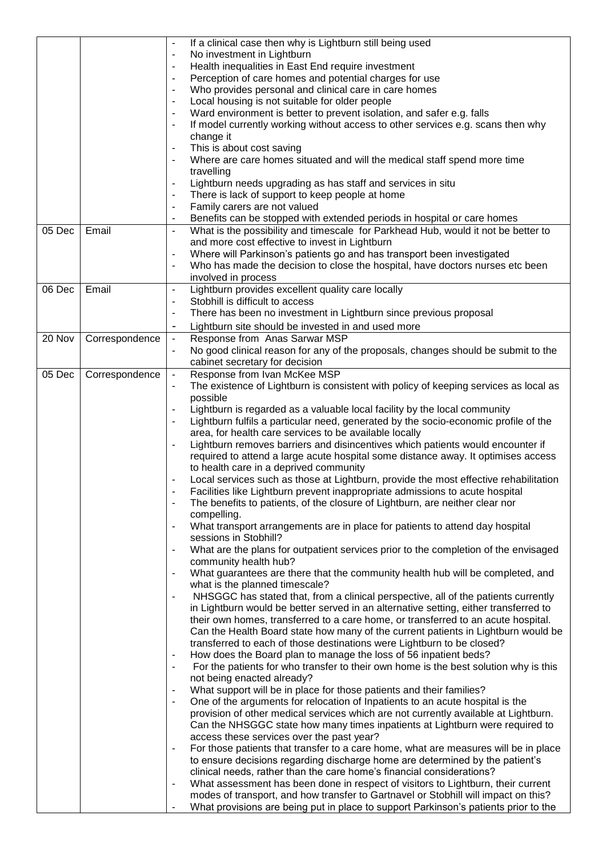|        |                | $\overline{\phantom{a}}$     | If a clinical case then why is Lightburn still being used                                                                                                           |
|--------|----------------|------------------------------|---------------------------------------------------------------------------------------------------------------------------------------------------------------------|
|        |                |                              | No investment in Lightburn                                                                                                                                          |
|        |                | $\blacksquare$               | Health inequalities in East End require investment                                                                                                                  |
|        |                | $\overline{a}$               | Perception of care homes and potential charges for use                                                                                                              |
|        |                | $\blacksquare$               | Who provides personal and clinical care in care homes                                                                                                               |
|        |                | $\overline{\phantom{a}}$     | Local housing is not suitable for older people                                                                                                                      |
|        |                | $\overline{\phantom{a}}$     | Ward environment is better to prevent isolation, and safer e.g. falls                                                                                               |
|        |                | $\overline{a}$               | If model currently working without access to other services e.g. scans then why                                                                                     |
|        |                | $\qquad \qquad \blacksquare$ | change it<br>This is about cost saving                                                                                                                              |
|        |                | $\overline{a}$               | Where are care homes situated and will the medical staff spend more time                                                                                            |
|        |                |                              | travelling                                                                                                                                                          |
|        |                | $\overline{\phantom{a}}$     | Lightburn needs upgrading as has staff and services in situ                                                                                                         |
|        |                |                              | There is lack of support to keep people at home                                                                                                                     |
|        |                |                              | Family carers are not valued                                                                                                                                        |
|        |                | $\overline{a}$               | Benefits can be stopped with extended periods in hospital or care homes                                                                                             |
| 05 Dec | Email          | $\blacksquare$               | What is the possibility and timescale for Parkhead Hub, would it not be better to                                                                                   |
|        |                |                              | and more cost effective to invest in Lightburn                                                                                                                      |
|        |                | ÷,                           | Where will Parkinson's patients go and has transport been investigated                                                                                              |
|        |                | -                            | Who has made the decision to close the hospital, have doctors nurses etc been                                                                                       |
|        |                |                              | involved in process                                                                                                                                                 |
| 06 Dec | Email          | $\overline{\phantom{a}}$     | Lightburn provides excellent quality care locally                                                                                                                   |
|        |                | ÷,                           | Stobhill is difficult to access                                                                                                                                     |
|        |                | -                            | There has been no investment in Lightburn since previous proposal                                                                                                   |
|        |                | $\overline{\phantom{a}}$     | Lightburn site should be invested in and used more                                                                                                                  |
| 20 Nov | Correspondence | $\overline{\phantom{a}}$     | Response from Anas Sarwar MSP                                                                                                                                       |
|        |                | ÷,                           | No good clinical reason for any of the proposals, changes should be submit to the                                                                                   |
|        |                |                              | cabinet secretary for decision                                                                                                                                      |
| 05 Dec | Correspondence | $\blacksquare$               | Response from Ivan McKee MSP                                                                                                                                        |
|        |                | -                            | The existence of Lightburn is consistent with policy of keeping services as local as                                                                                |
|        |                |                              | possible                                                                                                                                                            |
|        |                | -                            | Lightburn is regarded as a valuable local facility by the local community                                                                                           |
|        |                |                              | Lightburn fulfils a particular need, generated by the socio-economic profile of the                                                                                 |
|        |                |                              | area, for health care services to be available locally                                                                                                              |
|        |                |                              | Lightburn removes barriers and disincentives which patients would encounter if<br>required to attend a large acute hospital some distance away. It optimises access |
|        |                |                              | to health care in a deprived community                                                                                                                              |
|        |                |                              | Local services such as those at Lightburn, provide the most effective rehabilitation                                                                                |
|        |                |                              | Facilities like Lightburn prevent inappropriate admissions to acute hospital                                                                                        |
|        |                | ÷,                           | The benefits to patients, of the closure of Lightburn, are neither clear nor                                                                                        |
|        |                |                              | compelling.                                                                                                                                                         |
|        |                | $\overline{a}$               | What transport arrangements are in place for patients to attend day hospital                                                                                        |
|        |                |                              | sessions in Stobhill?                                                                                                                                               |
|        |                | $\overline{\phantom{a}}$     | What are the plans for outpatient services prior to the completion of the envisaged                                                                                 |
|        |                |                              | community health hub?                                                                                                                                               |
|        |                |                              | What guarantees are there that the community health hub will be completed, and                                                                                      |
|        |                |                              | what is the planned timescale?                                                                                                                                      |
|        |                | -                            | NHSGGC has stated that, from a clinical perspective, all of the patients currently                                                                                  |
|        |                |                              | in Lightburn would be better served in an alternative setting, either transferred to                                                                                |
|        |                |                              | their own homes, transferred to a care home, or transferred to an acute hospital.                                                                                   |
|        |                |                              | Can the Health Board state how many of the current patients in Lightburn would be<br>transferred to each of those destinations were Lightburn to be closed?         |
|        |                | $\qquad \qquad \blacksquare$ | How does the Board plan to manage the loss of 56 inpatient beds?                                                                                                    |
|        |                | $\overline{a}$               | For the patients for who transfer to their own home is the best solution why is this                                                                                |
|        |                |                              | not being enacted already?                                                                                                                                          |
|        |                | $\overline{\phantom{a}}$     | What support will be in place for those patients and their families?                                                                                                |
|        |                | -                            | One of the arguments for relocation of Inpatients to an acute hospital is the                                                                                       |
|        |                |                              | provision of other medical services which are not currently available at Lightburn.                                                                                 |
|        |                |                              | Can the NHSGGC state how many times inpatients at Lightburn were required to                                                                                        |
|        |                |                              | access these services over the past year?                                                                                                                           |
|        |                | $\overline{a}$               | For those patients that transfer to a care home, what are measures will be in place                                                                                 |
|        |                |                              | to ensure decisions regarding discharge home are determined by the patient's                                                                                        |
|        |                |                              | clinical needs, rather than the care home's financial considerations?                                                                                               |
|        |                | $\qquad \qquad \blacksquare$ | What assessment has been done in respect of visitors to Lightburn, their current                                                                                    |
|        |                |                              | modes of transport, and how transfer to Gartnavel or Stobhill will impact on this?                                                                                  |
|        |                | -                            | What provisions are being put in place to support Parkinson's patients prior to the                                                                                 |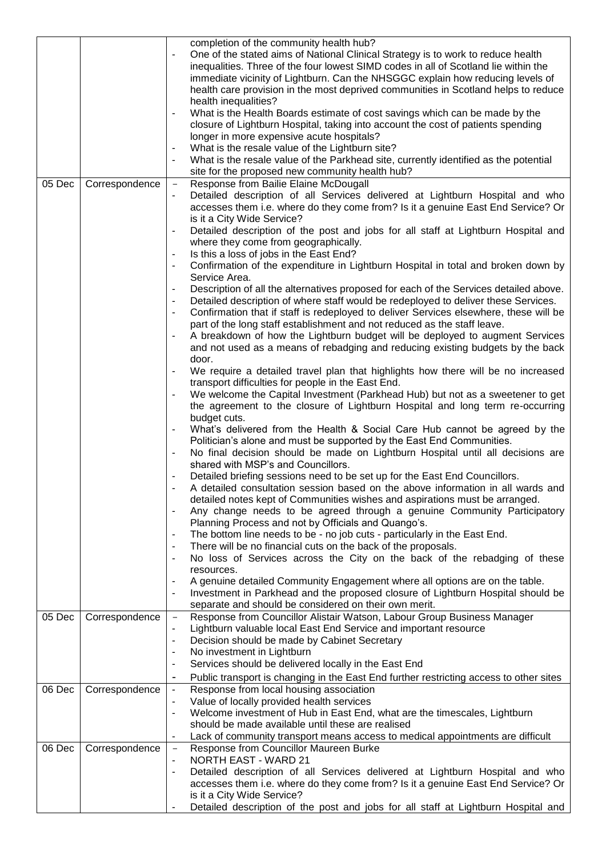|        |                | completion of the community health hub?                                                                                                                                                    |
|--------|----------------|--------------------------------------------------------------------------------------------------------------------------------------------------------------------------------------------|
|        |                | One of the stated aims of National Clinical Strategy is to work to reduce health                                                                                                           |
|        |                | inequalities. Three of the four lowest SIMD codes in all of Scotland lie within the                                                                                                        |
|        |                | immediate vicinity of Lightburn. Can the NHSGGC explain how reducing levels of                                                                                                             |
|        |                | health care provision in the most deprived communities in Scotland helps to reduce                                                                                                         |
|        |                | health inequalities?                                                                                                                                                                       |
|        |                | What is the Health Boards estimate of cost savings which can be made by the                                                                                                                |
|        |                | closure of Lightburn Hospital, taking into account the cost of patients spending                                                                                                           |
|        |                | longer in more expensive acute hospitals?                                                                                                                                                  |
|        |                | What is the resale value of the Lightburn site?<br>$\blacksquare$                                                                                                                          |
|        |                | What is the resale value of the Parkhead site, currently identified as the potential                                                                                                       |
|        |                | site for the proposed new community health hub?                                                                                                                                            |
| 05 Dec | Correspondence | Response from Bailie Elaine McDougall<br>$\overline{\phantom{a}}$                                                                                                                          |
|        |                | Detailed description of all Services delivered at Lightburn Hospital and who                                                                                                               |
|        |                | accesses them i.e. where do they come from? Is it a genuine East End Service? Or                                                                                                           |
|        |                | is it a City Wide Service?                                                                                                                                                                 |
|        |                | Detailed description of the post and jobs for all staff at Lightburn Hospital and<br>$\overline{\phantom{a}}$                                                                              |
|        |                | where they come from geographically.                                                                                                                                                       |
|        |                | Is this a loss of jobs in the East End?                                                                                                                                                    |
|        |                | Confirmation of the expenditure in Lightburn Hospital in total and broken down by<br>$\overline{\phantom{a}}$                                                                              |
|        |                | Service Area.                                                                                                                                                                              |
|        |                | Description of all the alternatives proposed for each of the Services detailed above.                                                                                                      |
|        |                | Detailed description of where staff would be redeployed to deliver these Services.<br>$\overline{\phantom{a}}$                                                                             |
|        |                | Confirmation that if staff is redeployed to deliver Services elsewhere, these will be<br>$\blacksquare$                                                                                    |
|        |                | part of the long staff establishment and not reduced as the staff leave.                                                                                                                   |
|        |                | A breakdown of how the Lightburn budget will be deployed to augment Services<br>$\overline{\phantom{a}}$                                                                                   |
|        |                | and not used as a means of rebadging and reducing existing budgets by the back                                                                                                             |
|        |                | door.                                                                                                                                                                                      |
|        |                | We require a detailed travel plan that highlights how there will be no increased                                                                                                           |
|        |                | transport difficulties for people in the East End.                                                                                                                                         |
|        |                | We welcome the Capital Investment (Parkhead Hub) but not as a sweetener to get                                                                                                             |
|        |                | the agreement to the closure of Lightburn Hospital and long term re-occurring                                                                                                              |
|        |                | budget cuts.                                                                                                                                                                               |
|        |                |                                                                                                                                                                                            |
|        |                | What's delivered from the Health & Social Care Hub cannot be agreed by the<br>$\blacksquare$<br>Politician's alone and must be supported by the East End Communities.                      |
|        |                |                                                                                                                                                                                            |
|        |                | No final decision should be made on Lightburn Hospital until all decisions are<br>$\blacksquare$<br>shared with MSP's and Councillors.                                                     |
|        |                |                                                                                                                                                                                            |
|        |                | Detailed briefing sessions need to be set up for the East End Councillors.<br>$\blacksquare$                                                                                               |
|        |                | A detailed consultation session based on the above information in all wards and                                                                                                            |
|        |                | detailed notes kept of Communities wishes and aspirations must be arranged.                                                                                                                |
|        |                | Any change needs to be agreed through a genuine Community Participatory                                                                                                                    |
|        |                | Planning Process and not by Officials and Quango's.                                                                                                                                        |
|        |                | The bottom line needs to be - no job cuts - particularly in the East End.<br>There will be no financial cuts on the back of the proposals.                                                 |
|        |                | $\blacksquare$                                                                                                                                                                             |
|        |                | No loss of Services across the City on the back of the rebadging of these<br>$\blacksquare$                                                                                                |
|        |                | resources.                                                                                                                                                                                 |
|        |                | A genuine detailed Community Engagement where all options are on the table.<br>Investment in Parkhead and the proposed closure of Lightburn Hospital should be<br>$\overline{\phantom{a}}$ |
|        |                | separate and should be considered on their own merit.                                                                                                                                      |
| 05 Dec | Correspondence | Response from Councillor Alistair Watson, Labour Group Business Manager<br>$\qquad \qquad -$                                                                                               |
|        |                | Lightburn valuable local East End Service and important resource                                                                                                                           |
|        |                | $\blacksquare$<br>Decision should be made by Cabinet Secretary<br>$\overline{\phantom{a}}$                                                                                                 |
|        |                | No investment in Lightburn                                                                                                                                                                 |
|        |                | $\blacksquare$<br>Services should be delivered locally in the East End                                                                                                                     |
|        |                | $\blacksquare$                                                                                                                                                                             |
|        |                | Public transport is changing in the East End further restricting access to other sites<br>$\blacksquare$                                                                                   |
| 06 Dec | Correspondence | Response from local housing association<br>$\blacksquare$                                                                                                                                  |
|        |                | Value of locally provided health services<br>$\overline{\phantom{a}}$                                                                                                                      |
|        |                | Welcome investment of Hub in East End, what are the timescales, Lightburn<br>$\overline{\phantom{a}}$                                                                                      |
|        |                | should be made available until these are realised                                                                                                                                          |
|        |                | Lack of community transport means access to medical appointments are difficult                                                                                                             |
| 06 Dec | Correspondence | Response from Councillor Maureen Burke<br>$\overline{\phantom{a}}$                                                                                                                         |
|        |                | <b>NORTH EAST - WARD 21</b><br>$\overline{\phantom{a}}$                                                                                                                                    |
|        |                | Detailed description of all Services delivered at Lightburn Hospital and who<br>$\overline{\phantom{a}}$                                                                                   |
|        |                | accesses them i.e. where do they come from? Is it a genuine East End Service? Or                                                                                                           |
|        |                | is it a City Wide Service?                                                                                                                                                                 |
|        |                | Detailed description of the post and jobs for all staff at Lightburn Hospital and                                                                                                          |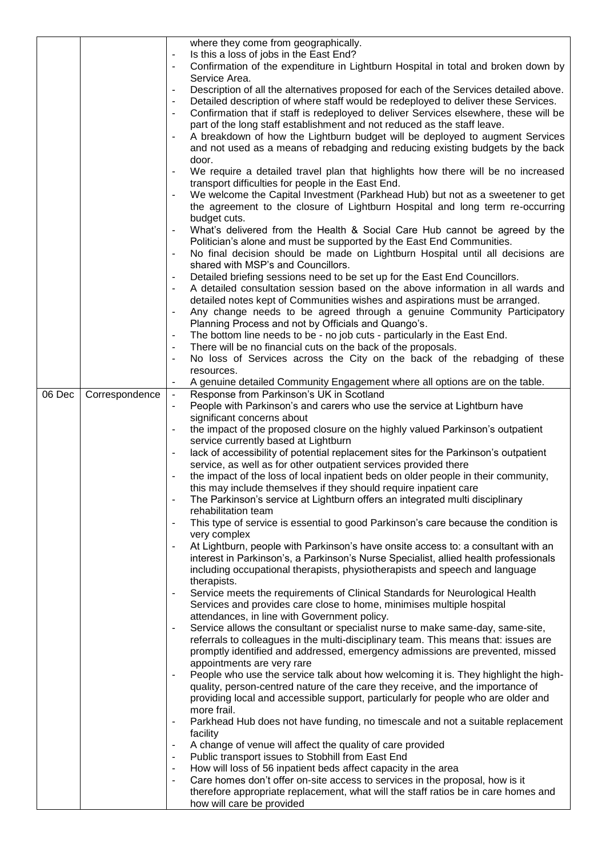|        |                |                              | where they come from geographically.                                                  |
|--------|----------------|------------------------------|---------------------------------------------------------------------------------------|
|        |                |                              | Is this a loss of jobs in the East End?                                               |
|        |                |                              | Confirmation of the expenditure in Lightburn Hospital in total and broken down by     |
|        |                |                              | Service Area.                                                                         |
|        |                |                              | Description of all the alternatives proposed for each of the Services detailed above. |
|        |                | $\overline{\phantom{0}}$     | Detailed description of where staff would be redeployed to deliver these Services.    |
|        |                | -                            | Confirmation that if staff is redeployed to deliver Services elsewhere, these will be |
|        |                |                              | part of the long staff establishment and not reduced as the staff leave.              |
|        |                | $\qquad \qquad \blacksquare$ | A breakdown of how the Lightburn budget will be deployed to augment Services          |
|        |                |                              | and not used as a means of rebadging and reducing existing budgets by the back        |
|        |                |                              | door.                                                                                 |
|        |                | $\overline{\phantom{0}}$     | We require a detailed travel plan that highlights how there will be no increased      |
|        |                |                              | transport difficulties for people in the East End.                                    |
|        |                |                              | We welcome the Capital Investment (Parkhead Hub) but not as a sweetener to get        |
|        |                |                              | the agreement to the closure of Lightburn Hospital and long term re-occurring         |
|        |                |                              | budget cuts.                                                                          |
|        |                | ÷,                           |                                                                                       |
|        |                |                              | What's delivered from the Health & Social Care Hub cannot be agreed by the            |
|        |                |                              | Politician's alone and must be supported by the East End Communities.                 |
|        |                | $\qquad \qquad \blacksquare$ | No final decision should be made on Lightburn Hospital until all decisions are        |
|        |                |                              | shared with MSP's and Councillors.                                                    |
|        |                | $\overline{\phantom{0}}$     | Detailed briefing sessions need to be set up for the East End Councillors.            |
|        |                | -                            | A detailed consultation session based on the above information in all wards and       |
|        |                |                              | detailed notes kept of Communities wishes and aspirations must be arranged.           |
|        |                | $\qquad \qquad \blacksquare$ | Any change needs to be agreed through a genuine Community Participatory               |
|        |                |                              | Planning Process and not by Officials and Quango's.                                   |
|        |                |                              | The bottom line needs to be - no job cuts - particularly in the East End.             |
|        |                | $\blacksquare$               | There will be no financial cuts on the back of the proposals.                         |
|        |                |                              | No loss of Services across the City on the back of the rebadging of these             |
|        |                |                              | resources.                                                                            |
|        |                |                              | A genuine detailed Community Engagement where all options are on the table.           |
| 06 Dec | Correspondence | $\blacksquare$               | Response from Parkinson's UK in Scotland                                              |
|        |                | $\frac{1}{2}$                | People with Parkinson's and carers who use the service at Lightburn have              |
|        |                |                              | significant concerns about                                                            |
|        |                | $\overline{\phantom{0}}$     | the impact of the proposed closure on the highly valued Parkinson's outpatient        |
|        |                |                              | service currently based at Lightburn                                                  |
|        |                | $\qquad \qquad \blacksquare$ | lack of accessibility of potential replacement sites for the Parkinson's outpatient   |
|        |                |                              | service, as well as for other outpatient services provided there                      |
|        |                | $\overline{\phantom{0}}$     | the impact of the loss of local inpatient beds on older people in their community,    |
|        |                |                              | this may include themselves if they should require inpatient care                     |
|        |                |                              | The Parkinson's service at Lightburn offers an integrated multi disciplinary          |
|        |                |                              | rehabilitation team                                                                   |
|        |                | $\blacksquare$               | This type of service is essential to good Parkinson's care because the condition is   |
|        |                |                              | very complex                                                                          |
|        |                | $\overline{\phantom{0}}$     | At Lightburn, people with Parkinson's have onsite access to: a consultant with an     |
|        |                |                              | interest in Parkinson's, a Parkinson's Nurse Specialist, allied health professionals  |
|        |                |                              |                                                                                       |
|        |                |                              | including occupational therapists, physiotherapists and speech and language           |
|        |                |                              | therapists.                                                                           |
|        |                | $\qquad \qquad \blacksquare$ | Service meets the requirements of Clinical Standards for Neurological Health          |
|        |                |                              | Services and provides care close to home, minimises multiple hospital                 |
|        |                |                              | attendances, in line with Government policy.                                          |
|        |                | -                            | Service allows the consultant or specialist nurse to make same-day, same-site,        |
|        |                |                              | referrals to colleagues in the multi-disciplinary team. This means that: issues are   |
|        |                |                              | promptly identified and addressed, emergency admissions are prevented, missed         |
|        |                |                              | appointments are very rare                                                            |
|        |                | $\overline{\phantom{0}}$     | People who use the service talk about how welcoming it is. They highlight the high-   |
|        |                |                              | quality, person-centred nature of the care they receive, and the importance of        |
|        |                |                              | providing local and accessible support, particularly for people who are older and     |
|        |                |                              | more frail.                                                                           |
|        |                | $\overline{\phantom{0}}$     | Parkhead Hub does not have funding, no timescale and not a suitable replacement       |
|        |                |                              | facility                                                                              |
|        |                | $\overline{\phantom{a}}$     | A change of venue will affect the quality of care provided                            |
|        |                | $\qquad \qquad \blacksquare$ | Public transport issues to Stobhill from East End                                     |
|        |                | $\qquad \qquad \blacksquare$ | How will loss of 56 inpatient beds affect capacity in the area                        |
|        |                |                              | Care homes don't offer on-site access to services in the proposal, how is it          |
|        |                |                              | therefore appropriate replacement, what will the staff ratios be in care homes and    |
|        |                |                              | how will care be provided                                                             |
|        |                |                              |                                                                                       |